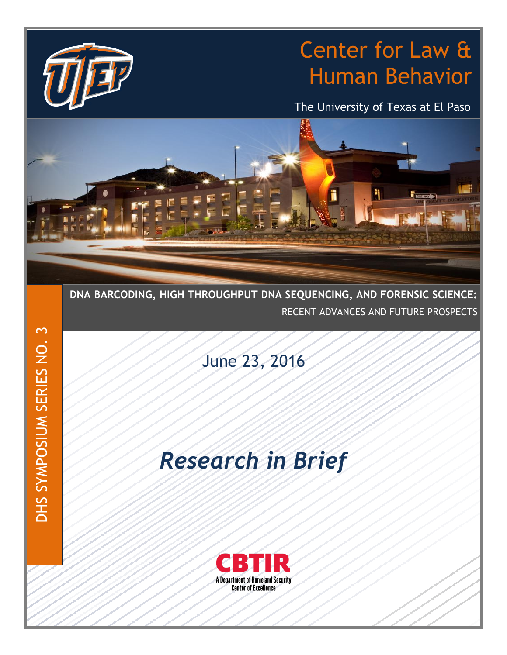## Center for Law & Human Behavior

The University of Texas at El Paso



**DNA BARCODING, HIGH THROUGHPUT DNA SEQUENCING, AND FORENSIC SCIENCE:** RECENT ADVANCES AND FUTURE PROSPECTS

June 23, 2016

# *Research in Brief*

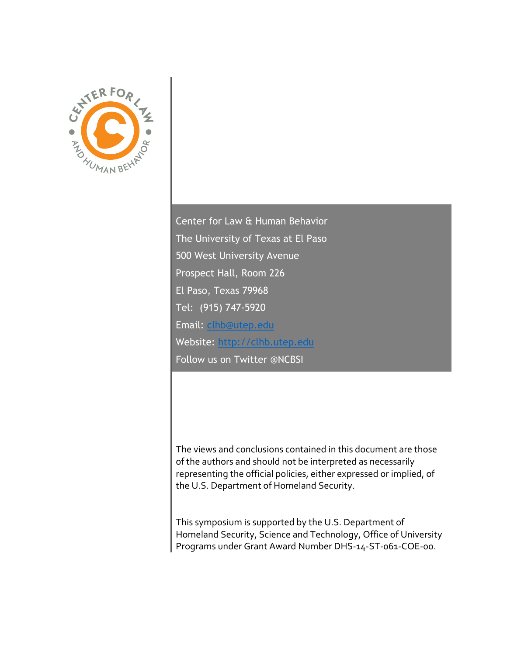

Center for Law & Human Behavior The University of Texas at El Paso 500 West University Avenue Prospect Hall, Room 226 El Paso, Texas 79968 Tel: (915) 747-5920 Email: [clhb@utep.edu](mailto:clhb@utep.edu) Website: [http://clhb.utep.edu](http://clhb.utep.edu/) Follow us on Twitter @NCBSI

The views and conclusions contained in this document are those of the authors and should not be interpreted as necessarily representing the official policies, either expressed or implied, of the U.S. Department of Homeland Security.

This symposium is supported by the U.S. Department of Homeland Security, Science and Technology, Office of University Programs under Grant Award Number DHS-14-ST-061-COE-00.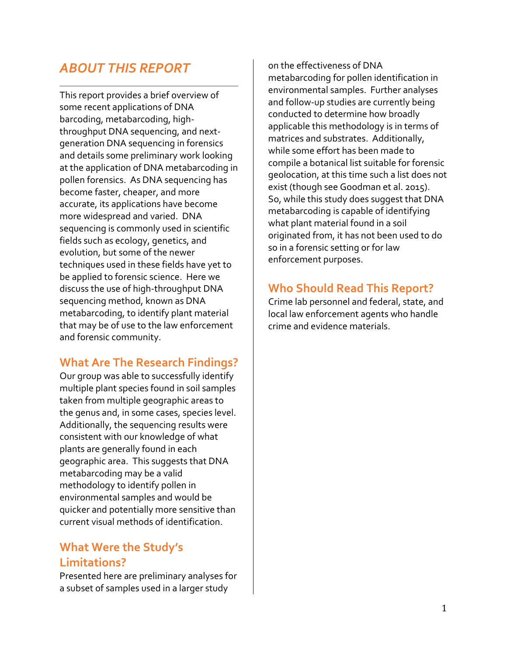### *ABOUT THIS REPORT*

This report provides a brief overview of some recent applications of DNA barcoding, metabarcoding, highthroughput DNA sequencing, and nextgeneration DNA sequencing in forensics and details some preliminary work looking at the application of DNA metabarcoding in pollen forensics. As DNA sequencing has become faster, cheaper, and more accurate, its applications have become more widespread and varied. DNA sequencing is commonly used in scientific fields such as ecology, genetics, and evolution, but some of the newer techniques used in these fields have yet to be applied to forensic science. Here we discuss the use of high-throughput DNA sequencing method, known as DNA metabarcoding, to identify plant material that may be of use to the law enforcement and forensic community.

#### **What Are The Research Findings?**

Our group was able to successfully identify multiple plant species found in soil samples taken from multiple geographic areas to the genus and, in some cases, species level. Additionally, the sequencing results were consistent with our knowledge of what plants are generally found in each geographic area. This suggests that DNA metabarcoding may be a valid methodology to identify pollen in environmental samples and would be quicker and potentially more sensitive than current visual methods of identification.

#### **What Were the Study's Limitations?**

Presented here are preliminary analyses for a subset of samples used in a larger study

on the effectiveness of DNA metabarcoding for pollen identification in environmental samples. Further analyses and follow-up studies are currently being conducted to determine how broadly applicable this methodology is in terms of matrices and substrates. Additionally, while some effort has been made to compile a botanical list suitable for forensic geolocation, at this time such a list does not exist (though see Goodman et al. 2015). So, while this study does suggest that DNA metabarcoding is capable of identifying what plant material found in a soil originated from, it has not been used to do so in a forensic setting or for law enforcement purposes.

#### **Who Should Read This Report?**

Crime lab personnel and federal, state, and local law enforcement agents who handle crime and evidence materials.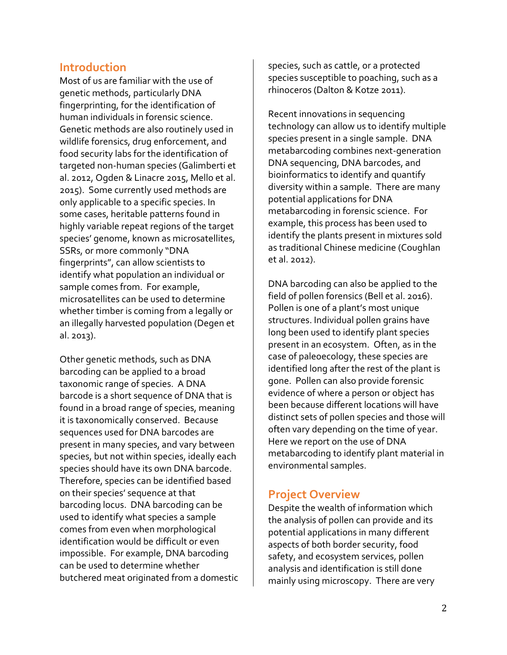#### **Introduction**

Most of us are familiar with the use of genetic methods, particularly DNA fingerprinting, for the identification of human individuals in forensic science. Genetic methods are also routinely used in wildlife forensics, drug enforcement, and food security labs for the identification of targeted non-human species (Galimberti et al. 2012, Ogden & Linacre 2015, Mello et al. 2015). Some currently used methods are only applicable to a specific species. In some cases, heritable patterns found in highly variable repeat regions of the target species' genome, known as microsatellites, SSRs, or more commonly "DNA fingerprints", can allow scientists to identify what population an individual or sample comes from. For example, microsatellites can be used to determine whether timber is coming from a legally or an illegally harvested population (Degen et al. 2013).

Other genetic methods, such as DNA barcoding can be applied to a broad taxonomic range of species. A DNA barcode is a short sequence of DNA that is found in a broad range of species, meaning it is taxonomically conserved. Because sequences used for DNA barcodes are present in many species, and vary between species, but not within species, ideally each species should have its own DNA barcode. Therefore, species can be identified based on their species' sequence at that barcoding locus. DNA barcoding can be used to identify what species a sample comes from even when morphological identification would be difficult or even impossible. For example, DNA barcoding can be used to determine whether butchered meat originated from a domestic species, such as cattle, or a protected species susceptible to poaching, such as a rhinoceros (Dalton & Kotze 2011).

Recent innovations in sequencing technology can allow us to identify multiple species present in a single sample. DNA metabarcoding combines next-generation DNA sequencing, DNA barcodes, and bioinformatics to identify and quantify diversity within a sample. There are many potential applications for DNA metabarcoding in forensic science. For example, this process has been used to identify the plants present in mixtures sold as traditional Chinese medicine (Coughlan et al. 2012).

DNA barcoding can also be applied to the field of pollen forensics (Bell et al. 2016). Pollen is one of a plant's most unique structures. Individual pollen grains have long been used to identify plant species present in an ecosystem. Often, as in the case of paleoecology, these species are identified long after the rest of the plant is gone. Pollen can also provide forensic evidence of where a person or object has been because different locations will have distinct sets of pollen species and those will often vary depending on the time of year. Here we report on the use of DNA metabarcoding to identify plant material in environmental samples.

#### **Project Overview**

Despite the wealth of information which the analysis of pollen can provide and its potential applications in many different aspects of both border security, food safety, and ecosystem services, pollen analysis and identification is still done mainly using microscopy. There are very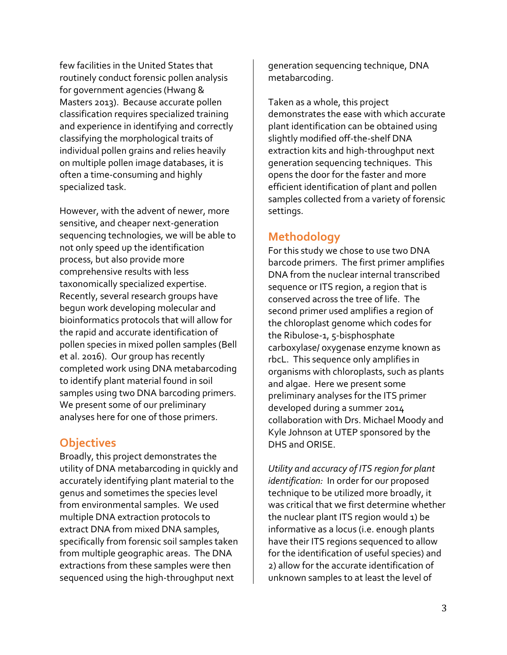few facilities in the United States that routinely conduct forensic pollen analysis for government agencies (Hwang & Masters 2013). Because accurate pollen classification requires specialized training and experience in identifying and correctly classifying the morphological traits of individual pollen grains and relies heavily on multiple pollen image databases, it is often a time-consuming and highly specialized task.

However, with the advent of newer, more sensitive, and cheaper next-generation sequencing technologies, we will be able to not only speed up the identification process, but also provide more comprehensive results with less taxonomically specialized expertise. Recently, several research groups have begun work developing molecular and bioinformatics protocols that will allow for the rapid and accurate identification of pollen species in mixed pollen samples (Bell et al. 2016). Our group has recently completed work using DNA metabarcoding to identify plant material found in soil samples using two DNA barcoding primers. We present some of our preliminary analyses here for one of those primers.

#### **Objectives**

Broadly, this project demonstrates the utility of DNA metabarcoding in quickly and accurately identifying plant material to the genus and sometimes the species level from environmental samples. We used multiple DNA extraction protocols to extract DNA from mixed DNA samples, specifically from forensic soil samples taken from multiple geographic areas. The DNA extractions from these samples were then sequenced using the high-throughput next

generation sequencing technique, DNA metabarcoding.

Taken as a whole, this project demonstrates the ease with which accurate plant identification can be obtained using slightly modified off-the-shelf DNA extraction kits and high-throughput next generation sequencing techniques. This opens the door for the faster and more efficient identification of plant and pollen samples collected from a variety of forensic settings.

#### **Methodology**

For this study we chose to use two DNA barcode primers. The first primer amplifies DNA from the nuclear internal transcribed sequence or ITS region, a region that is conserved across the tree of life. The second primer used amplifies a region of the chloroplast genome which codes for the Ribulose-1, 5-bisphosphate carboxylase/ oxygenase enzyme known as rbcL. This sequence only amplifies in organisms with chloroplasts, such as plants and algae. Here we present some preliminary analyses for the ITS primer developed during a summer 2014 collaboration with Drs. Michael Moody and Kyle Johnson at UTEP sponsored by the DHS and ORISE.

*Utility and accuracy of ITS region for plant identification:* In order for our proposed technique to be utilized more broadly, it was critical that we first determine whether the nuclear plant ITS region would 1) be informative as a locus (i.e. enough plants have their ITS regions sequenced to allow for the identification of useful species) and 2) allow for the accurate identification of unknown samples to at least the level of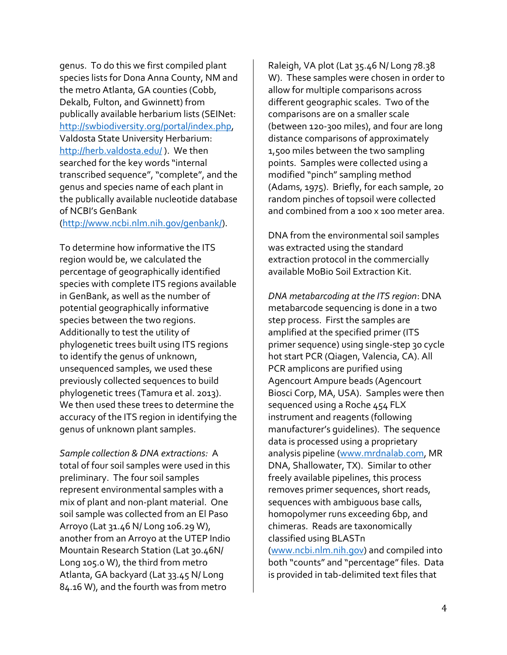genus. To do this we first compiled plant species lists for Dona Anna County, NM and the metro Atlanta, GA counties (Cobb, Dekalb, Fulton, and Gwinnett) from publically available herbarium lists (SEINet: [http://swbiodiversity.org/portal/index.php,](http://swbiodiversity.org/portal/index.php) Valdosta State University Herbarium: <http://herb.valdosta.edu/> ). We then searched for the key words "internal transcribed sequence", "complete", and the genus and species name of each plant in the publically available nucleotide database of NCBI's GenBank

[\(http://www.ncbi.nlm.nih.gov/genbank/\)](http://www.ncbi.nlm.nih.gov/genbank/).

To determine how informative the ITS region would be, we calculated the percentage of geographically identified species with complete ITS regions available in GenBank, as well as the number of potential geographically informative species between the two regions. Additionally to test the utility of phylogenetic trees built using ITS regions to identify the genus of unknown, unsequenced samples, we used these previously collected sequences to build phylogenetic trees (Tamura et al. 2013). We then used these trees to determine the accuracy of the ITS region in identifying the genus of unknown plant samples.

*Sample collection & DNA extractions:* A total of four soil samples were used in this preliminary. The four soil samples represent environmental samples with a mix of plant and non-plant material. One soil sample was collected from an El Paso Arroyo (Lat 31.46 N/ Long 106.29 W), another from an Arroyo at the UTEP Indio Mountain Research Station (Lat 30.46N/ Long 105.0 W), the third from metro Atlanta, GA backyard (Lat 33.45 N/ Long 84.16 W), and the fourth was from metro

Raleigh, VA plot (Lat 35.46 N/ Long 78.38 W). These samples were chosen in order to allow for multiple comparisons across different geographic scales. Two of the comparisons are on a smaller scale (between 120-300 miles), and four are long distance comparisons of approximately 1,500 miles between the two sampling points. Samples were collected using a modified "pinch" sampling method (Adams, 1975). Briefly, for each sample, 20 random pinches of topsoil were collected and combined from a 100 x 100 meter area.

DNA from the environmental soil samples was extracted using the standard extraction protocol in the commercially available MoBio Soil Extraction Kit.

*DNA metabarcoding at the ITS region*: DNA metabarcode sequencing is done in a two step process. First the samples are amplified at the specified primer (ITS primer sequence) using single-step 30 cycle hot start PCR (Qiagen, Valencia, CA). All PCR amplicons are purified using Agencourt Ampure beads (Agencourt Biosci Corp, MA, USA). Samples were then sequenced using a Roche 454 FLX instrument and reagents (following manufacturer's guidelines). The sequence data is processed using a proprietary analysis pipeline [\(www.mrdnalab.com,](http://www.mrdnalab.com/) MR DNA, Shallowater, TX). Similar to other freely available pipelines, this process removes primer sequences, short reads, sequences with ambiguous base calls, homopolymer runs exceeding 6bp, and chimeras. Reads are taxonomically classified using BLASTn [\(www.ncbi.nlm.nih.gov\)](http://www.ncbi.nlm.nih.gov/) and compiled into both "counts" and "percentage" files. Data is provided in tab-delimited text files that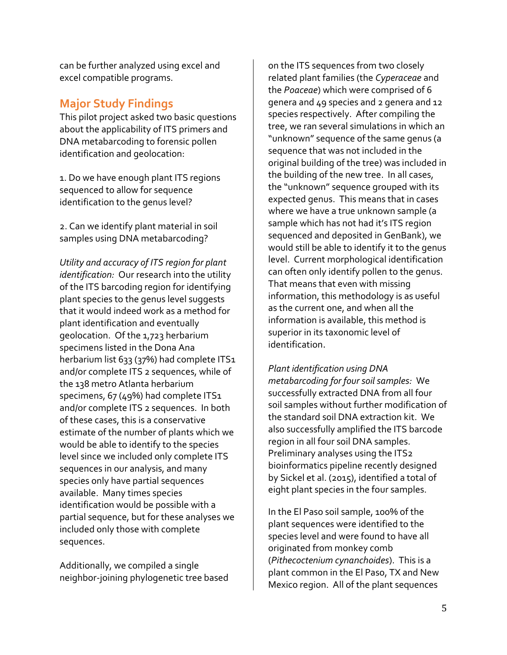can be further analyzed using excel and excel compatible programs.

#### **Major Study Findings**

This pilot project asked two basic questions about the applicability of ITS primers and DNA metabarcoding to forensic pollen identification and geolocation:

1. Do we have enough plant ITS regions sequenced to allow for sequence identification to the genus level?

2. Can we identify plant material in soil samples using DNA metabarcoding?

*Utility and accuracy of ITS region for plant identification:* Our research into the utility of the ITS barcoding region for identifying plant species to the genus level suggests that it would indeed work as a method for plant identification and eventually geolocation. Of the 1,723 herbarium specimens listed in the Dona Ana herbarium list 633 (37%) had complete ITS1 and/or complete ITS 2 sequences, while of the 138 metro Atlanta herbarium specimens, 67 (49%) had complete ITS1 and/or complete ITS 2 sequences. In both of these cases, this is a conservative estimate of the number of plants which we would be able to identify to the species level since we included only complete ITS sequences in our analysis, and many species only have partial sequences available. Many times species identification would be possible with a partial sequence, but for these analyses we included only those with complete sequences.

Additionally, we compiled a single neighbor-joining phylogenetic tree based

on the ITS sequences from two closely related plant families (the *Cyperaceae* and the *Poaceae*) which were comprised of 6 genera and 49 species and 2 genera and 12 species respectively. After compiling the tree, we ran several simulations in which an "unknown" sequence of the same genus (a sequence that was not included in the original building of the tree) was included in the building of the new tree. In all cases, the "unknown" sequence grouped with its expected genus. This means that in cases where we have a true unknown sample (a sample which has not had it's ITS region sequenced and deposited in GenBank), we would still be able to identify it to the genus level. Current morphological identification can often only identify pollen to the genus. That means that even with missing information, this methodology is as useful as the current one, and when all the information is available, this method is superior in its taxonomic level of identification.

*Plant identification using DNA metabarcoding for four soil samples:* We successfully extracted DNA from all four soil samples without further modification of the standard soil DNA extraction kit. We also successfully amplified the ITS barcode region in all four soil DNA samples. Preliminary analyses using the ITS2 bioinformatics pipeline recently designed by Sickel et al. (2015), identified a total of eight plant species in the four samples.

In the El Paso soil sample, 100% of the plant sequences were identified to the species level and were found to have all originated from monkey comb (*Pithecoctenium cynanchoides*). This is a plant common in the El Paso, TX and New Mexico region. All of the plant sequences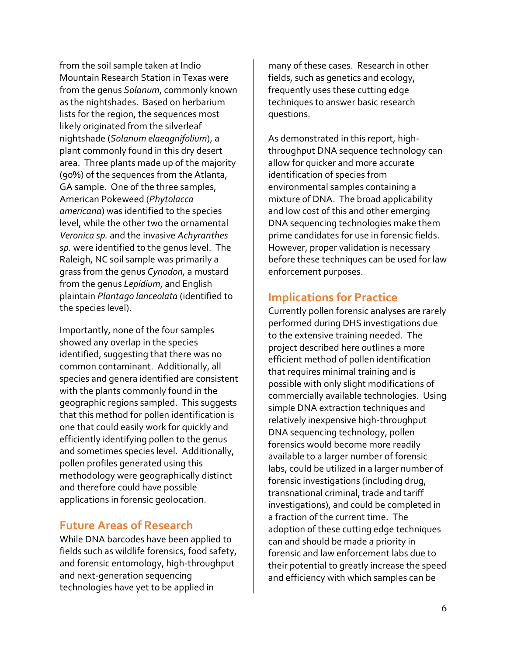from the soil sample taken at Indio Mountain Research Station in Texas were from the genus *Solanum*, commonly known as the nightshades. Based on herbarium lists for the region, the sequences most likely originated from the silverleaf nightshade (*Solanum elaeagnifolium*), a plant commonly found in this dry desert area. Three plants made up of the majority (90%) of the sequences from the Atlanta, GA sample. One of the three samples, American Pokeweed (*Phytolacca americana*) was identified to the species level, while the other two the ornamental *Veronica sp.* and the invasive *Achyranthes sp.* were identified to the genus level. The Raleigh, NC soil sample was primarily a grass from the genus *Cynodon,* a mustard from the genus *Lepidium*, and English plaintain *Plantago lanceolata* (identified to the species level).

Importantly, none of the four samples showed any overlap in the species identified, suggesting that there was no common contaminant. Additionally, all species and genera identified are consistent with the plants commonly found in the geographic regions sampled. This suggests that this method for pollen identification is one that could easily work for quickly and efficiently identifying pollen to the genus and sometimes species level. Additionally, pollen profiles generated using this methodology were geographically distinct and therefore could have possible applications in forensic geolocation.

#### **Future Areas of Research**

While DNA barcodes have been applied to fields such as wildlife forensics, food safety, and forensic entomology, high-throughput and next-generation sequencing technologies have yet to be applied in

many of these cases. Research in other fields, such as genetics and ecology, frequently uses these cutting edge techniques to answer basic research questions.

As demonstrated in this report, highthroughput DNA sequence technology can allow for quicker and more accurate identification of species from environmental samples containing a mixture of DNA. The broad applicability and low cost of this and other emerging DNA sequencing technologies make them prime candidates for use in forensic fields. However, proper validation is necessary before these techniques can be used for law enforcement purposes.

#### **Implications for Practice**

Currently pollen forensic analyses are rarely performed during DHS investigations due to the extensive training needed. The project described here outlines a more efficient method of pollen identification that requires minimal training and is possible with only slight modifications of commercially available technologies. Using simple DNA extraction techniques and relatively inexpensive high-throughput DNA sequencing technology, pollen forensics would become more readily available to a larger number of forensic labs, could be utilized in a larger number of forensic investigations (including drug, transnational criminal, trade and tariff investigations), and could be completed in a fraction of the current time. The adoption of these cutting edge techniques can and should be made a priority in forensic and law enforcement labs due to their potential to greatly increase the speed and efficiency with which samples can be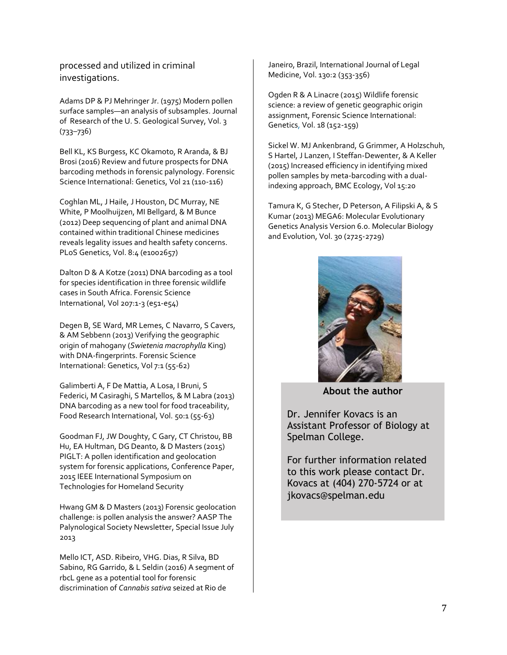processed and utilized in criminal investigations.

Adams DP & PJ Mehringer Jr. (1975) Modern pollen surface samples—an analysis of subsamples. Journal of Research of the U. S. Geological Survey, Vol. 3 (733–736)

Bell KL, KS Burgess, KC Okamoto, R Aranda, & BJ Brosi (2016) Review and future prospects for DNA barcoding methods in forensic palynology. Forensic Science International: Genetics, Vol 21 (110-116)

Coghlan ML, J Haile, J Houston, DC Murray, NE White, P Moolhuijzen, MI Bellgard, & M Bunce (2012) Deep sequencing of plant and animal DNA contained within traditional Chinese medicines reveals legality issues and health safety concerns. PLoS Genetics, Vol. 8:4 (e1002657)

Dalton D & A Kotze (2011) DNA barcoding as a tool for species identification in three forensic wildlife cases in South Africa. Forensic Science International, Vol 207:1-3 (e51-e54)

Degen B, SE Ward, MR Lemes, C Navarro, S Cavers, & AM Sebbenn (2013) Verifying the geographic origin of mahogany (*Swietenia macrophylla* King) with DNA-fingerprints. Forensic Science International: Genetics, Vol 7:1 (55-62)

Galimberti A, F De Mattia, A Losa, I Bruni, S Federici, M Casiraghi, S Martellos, & M Labra (2013) DNA barcoding as a new tool for food traceability, Food Research International, Vol. 50:1 (55-63)

Goodman FJ, JW Doughty, C Gary, CT Christou, BB Hu, EA Hultman, DG Deanto, & D Masters (2015) PIGLT: A pollen identification and geolocation system for forensic applications, Conference Paper, 2015 IEEE International Symposium on Technologies for Homeland Security

Hwang GM & D Masters (2013) Forensic geolocation challenge: is pollen analysis the answer? AASP The Palynological Society Newsletter, Special Issue July 2013

Mello ICT, ASD. Ribeiro, VHG. Dias, R Silva, BD Sabino, RG Garrido, & L Seldin (2016) A segment of rbcL gene as a potential tool for forensic discrimination of *Cannabis sativa* seized at Rio de

Janeiro, Brazil, International Journal of Legal Medicine, Vol. 130:2 (353-356)

Ogden R & A Linacre (2015) Wildlife forensic science: a review of genetic geographic origin assignment, Forensic Science International: Genetics, Vol. 18 (152-159)

Sickel W. MJ Ankenbrand, G Grimmer, A Holzschuh, S Hartel, J Lanzen, I Steffan-Dewenter, & A Keller (2015) Increased efficiency in identifying mixed pollen samples by meta-barcoding with a dualindexing approach, BMC Ecology, Vol 15:20

Tamura K, G Stecher, D Peterson, A Filipski A, & S Kumar (2013) MEGA6: Molecular Evolutionary Genetics Analysis Version 6.0. Molecular Biology and Evolution, Vol. 30 (2725-2729)



**About the author**

Dr. Jennifer Kovacs is an Assistant Professor of Biology at Spelman College.

For further information related to this work please contact Dr. Kovacs at (404) 270-5724 or at jkovacs@spelman.edu